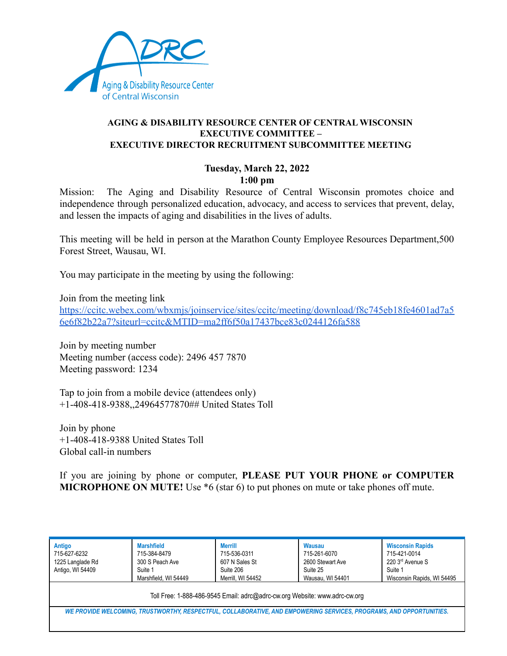

#### **AGING & DISABILITY RESOURCE CENTER OF CENTRAL WISCONSIN EXECUTIVE COMMITTEE – EXECUTIVE DIRECTOR RECRUITMENT SUBCOMMITTEE MEETING**

# **Tuesday, March 22, 2022 1:00 pm**

Mission: The Aging and Disability Resource of Central Wisconsin promotes choice and independence through personalized education, advocacy, and access to services that prevent, delay, and lessen the impacts of aging and disabilities in the lives of adults.

This meeting will be held in person at the Marathon County Employee Resources Department,500 Forest Street, Wausau, WI.

You may participate in the meeting by using the following:

Join from the meeting link [https://ccitc.webex.com/wbxmjs/joinservice/sites/ccitc/meeting/download/f8c745eb18fe4601ad7a5](https://ccitc.webex.com/wbxmjs/joinservice/sites/ccitc/meeting/download/f8c745eb18fe4601ad7a56e6f82b22a7?siteurl=ccitc&MTID=ma2ff6f50a17437bce83c0244126fa588) [6e6f82b22a7?siteurl=ccitc&MTID=ma2ff6f50a17437bce83c0244126fa588](https://ccitc.webex.com/wbxmjs/joinservice/sites/ccitc/meeting/download/f8c745eb18fe4601ad7a56e6f82b22a7?siteurl=ccitc&MTID=ma2ff6f50a17437bce83c0244126fa588)

Join by meeting number Meeting number (access code): 2496 457 7870 Meeting password: 1234

Tap to join from a mobile device (attendees only) +1-408-418-9388,,24964577870## United States Toll

Join by phone +1-408-418-9388 United States Toll Global call-in numbers

If you are joining by phone or computer, **PLEASE PUT YOUR PHONE or COMPUTER MICROPHONE ON MUTE!** Use \*6 (star 6) to put phones on mute or take phones off mute.

| Antigo<br>715-627-6232<br>1225 Langlade Rd<br>Antigo, WI 54409                                                      | <b>Marshfield</b><br>715-384-8479<br>300 S Peach Ave<br>Suite 1 | <b>Merrill</b><br>715-536-0311<br>607 N Sales St<br>Suite 206 | <b>Wausau</b><br>715-261-6070<br>2600 Stewart Ave<br>Suite 25 | <b>Wisconsin Rapids</b><br>715-421-0014<br>220 3rd Avenue S<br>Suite 1 |  |
|---------------------------------------------------------------------------------------------------------------------|-----------------------------------------------------------------|---------------------------------------------------------------|---------------------------------------------------------------|------------------------------------------------------------------------|--|
|                                                                                                                     | Marshfield, WI 54449                                            | Merrill. WI 54452                                             | Wausau, WI 54401                                              | Wisconsin Rapids, WI 54495                                             |  |
| Toll Free: 1-888-486-9545 Email: adrc@adrc-cw.org Website: www.adrc-cw.org                                          |                                                                 |                                                               |                                                               |                                                                        |  |
| WE PROVIDE WELCOMING, TRUSTWORTHY, RESPECTFUL, COLLABORATIVE, AND EMPOWERING SERVICES, PROGRAMS, AND OPPORTUNITIES. |                                                                 |                                                               |                                                               |                                                                        |  |